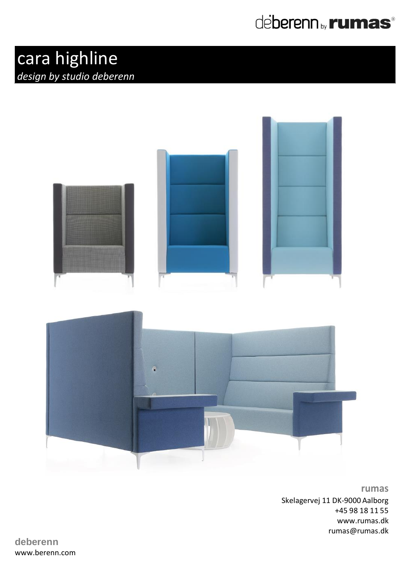

## cara highline *design by studio deberenn*



**rumas** Skelagervej 11 DK-9000 Aalborg +45 98 18 11 55 www.rumas.dk rumas@rumas.dk

**deberenn** www.berenn.com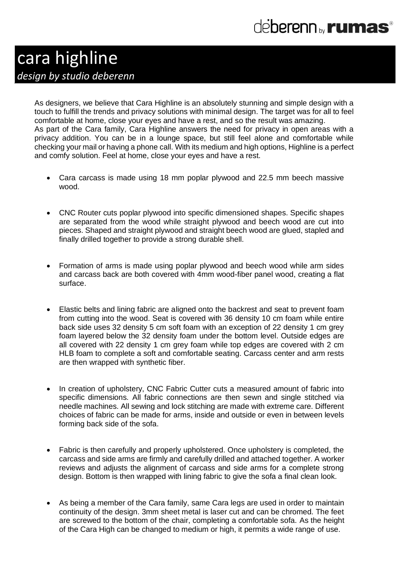## de**berenn** <sub>by</sub> rumas<sup>®</sup>

### cara highline *design by studio deberenn*

As designers, we believe that Cara Highline is an absolutely stunning and simple design with a touch to fulfill the trends and privacy solutions with minimal design. The target was for all to feel comfortable at home, close your eyes and have a rest, and so the result was amazing. As part of the Cara family, Cara Highline answers the need for privacy in open areas with a privacy addition. You can be in a lounge space, but still feel alone and comfortable while checking your mail or having a phone call. With its medium and high options, Highline is a perfect and comfy solution. Feel at home, close your eyes and have a rest.

- Cara carcass is made using 18 mm poplar plywood and 22.5 mm beech massive wood.
- CNC Router cuts poplar plywood into specific dimensioned shapes. Specific shapes are separated from the wood while straight plywood and beech wood are cut into pieces. Shaped and straight plywood and straight beech wood are glued, stapled and finally drilled together to provide a strong durable shell.
- Formation of arms is made using poplar plywood and beech wood while arm sides and carcass back are both covered with 4mm wood-fiber panel wood, creating a flat surface.
- Elastic belts and lining fabric are aligned onto the backrest and seat to prevent foam from cutting into the wood. Seat is covered with 36 density 10 cm foam while entire back side uses 32 density 5 cm soft foam with an exception of 22 density 1 cm grey foam layered below the 32 density foam under the bottom level. Outside edges are all covered with 22 density 1 cm grey foam while top edges are covered with 2 cm HLB foam to complete a soft and comfortable seating. Carcass center and arm rests are then wrapped with synthetic fiber.
- In creation of upholstery, CNC Fabric Cutter cuts a measured amount of fabric into specific dimensions. All fabric connections are then sewn and single stitched via needle machines. All sewing and lock stitching are made with extreme care. Different choices of fabric can be made for arms, inside and outside or even in between levels forming back side of the sofa.
- Fabric is then carefully and properly upholstered. Once upholstery is completed, the carcass and side arms are firmly and carefully drilled and attached together. A worker reviews and adjusts the alignment of carcass and side arms for a complete strong design. Bottom is then wrapped with lining fabric to give the sofa a final clean look.
- As being a member of the Cara family, same Cara legs are used in order to maintain continuity of the design. 3mm sheet metal is laser cut and can be chromed. The feet are screwed to the bottom of the chair, completing a comfortable sofa. As the height of the Cara High can be changed to medium or high, it permits a wide range of use.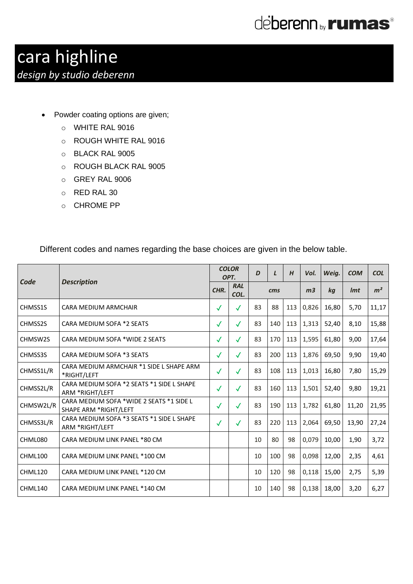

### cara highline *design by studio deberenn*

- Powder coating options are given;
	- o WHITE RAL 9016
	- o ROUGH WHITE RAL 9016
	- o BLACK RAL 9005
	- o ROUGH BLACK RAL 9005
	- o GREY RAL 9006
	- o RED RAL 30
	- o CHROME PP

|           |                                                                   |              | <b>COLOR</b><br>OPT. | D               | $\mathbf{L}$ | H   | Vol.           | Weig. | <b>COM</b>      | <b>COL</b>     |
|-----------|-------------------------------------------------------------------|--------------|----------------------|-----------------|--------------|-----|----------------|-------|-----------------|----------------|
| Code      | <b>Description</b>                                                | CHR.         | <b>RAL</b><br>COL.   | $\mathbf{cm}$ s |              |     | m <sub>3</sub> | ka    | Im <sub>t</sub> | m <sup>2</sup> |
| CHMSS1S   | CARA MEDIUM ARMCHAIR                                              | $\checkmark$ | $\checkmark$         | 83              | 88           | 113 | 0,826          | 16,80 | 5,70            | 11,17          |
| CHMSS2S   | CARA MEDIUM SOFA *2 SEATS                                         | $\checkmark$ | $\checkmark$         | 83              | 140          | 113 | 1,313          | 52,40 | 8,10            | 15,88          |
| CHMSW2S   | CARA MEDIUM SOFA *WIDE 2 SEATS                                    | $\checkmark$ | $\checkmark$         | 83              | 170          | 113 | 1,595          | 61,80 | 9,00            | 17,64          |
| CHMSS3S   | CARA MEDIUM SOFA *3 SEATS                                         | $\checkmark$ | $\checkmark$         | 83              | 200          | 113 | 1,876          | 69,50 | 9,90            | 19,40          |
| CHMSS1L/R | CARA MEDIUM ARMCHAIR *1 SIDE L SHAPE ARM<br>*RIGHT/LEFT           | $\checkmark$ | $\checkmark$         | 83              | 108          | 113 | 1,013          | 16.80 | 7,80            | 15,29          |
| CHMSS2L/R | CARA MEDIUM SOFA *2 SEATS *1 SIDE L SHAPE<br>ARM *RIGHT/LEFT      | $\checkmark$ | $\checkmark$         | 83              | 160          | 113 | 1,501          | 52,40 | 9,80            | 19,21          |
| CHMSW2L/R | CARA MEDIUM SOFA *WIDE 2 SEATS *1 SIDE L<br>SHAPE ARM *RIGHT/LEFT | $\checkmark$ | $\checkmark$         | 83              | 190          | 113 | 1,782          | 61,80 | 11,20           | 21,95          |
| CHMSS3L/R | CARA MEDIUM SOFA *3 SEATS *1 SIDE L SHAPE<br>ARM *RIGHT/LEFT      | $\checkmark$ | $\checkmark$         | 83              | 220          | 113 | 2,064          | 69.50 | 13,90           | 27,24          |
| CHML080   | CARA MEDIUM LINK PANEL *80 CM                                     |              |                      | 10              | 80           | 98  | 0,079          | 10,00 | 1,90            | 3,72           |
| CHML100   | CARA MEDIUM LINK PANEL *100 CM                                    |              |                      | 10              | 100          | 98  | 0,098          | 12,00 | 2,35            | 4,61           |
| CHML120   | CARA MEDIUM LINK PANEL *120 CM                                    |              |                      | 10              | 120          | 98  | 0,118          | 15,00 | 2,75            | 5,39           |
| CHML140   | CARA MEDIUM LINK PANEL *140 CM                                    |              |                      | 10              | 140          | 98  | 0,138          | 18,00 | 3,20            | 6,27           |

Different codes and names regarding the base choices are given in the below table.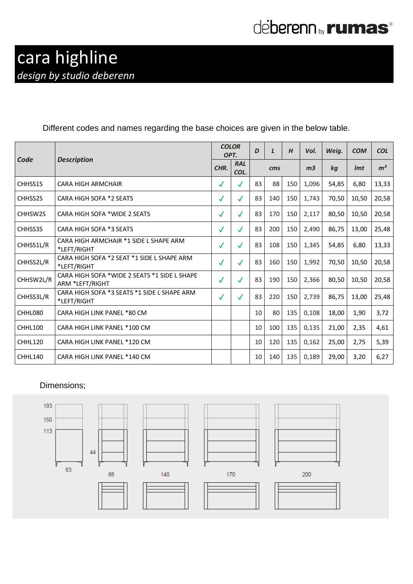## deberenn by **rumas**®

#### Different codes and names regarding the base choices are given in the below table.

|           |                                                                 |              | <b>COLOR</b><br>OPT. |     | L   | H   | Vol.           | Weig. | <b>COM</b> | <b>COL</b>     |
|-----------|-----------------------------------------------------------------|--------------|----------------------|-----|-----|-----|----------------|-------|------------|----------------|
| Code      | <b>Description</b>                                              | CHR.         | <b>RAL</b><br>COL.   | cms |     |     | m <sub>3</sub> | ka    | <i>Imt</i> | m <sup>2</sup> |
| CHHSS1S   | <b>CARA HIGH ARMCHAIR</b>                                       | $\checkmark$ | $\checkmark$         | 83  | 88  | 150 | 1,096          | 54,85 | 6,80       | 13,33          |
| CHHSS2S   | CARA HIGH SOFA *2 SEATS                                         | $\checkmark$ | $\checkmark$         | 83  | 140 | 150 | 1,743          | 70,50 | 10,50      | 20,58          |
| CHHSW2S   | CARA HIGH SOFA *WIDE 2 SEATS                                    | $\checkmark$ | $\checkmark$         | 83  | 170 | 150 | 2,117          | 80,50 | 10,50      | 20,58          |
| CHHSS3S   | CARA HIGH SOFA *3 SEATS                                         | $\checkmark$ | $\checkmark$         | 83  | 200 | 150 | 2,490          | 86,75 | 13,00      | 25,48          |
| CHHSS1L/R | CARA HIGH ARMCHAIR *1 SIDE L SHAPE ARM<br>*LEFT/RIGHT           | $\checkmark$ | $\checkmark$         | 83  | 108 | 150 | 1,345          | 54,85 | 6,80       | 13,33          |
| CHHSS2L/R | CARA HIGH SOFA *2 SEAT *1 SIDE L SHAPE ARM<br>*LEFT/RIGHT       | $\checkmark$ | $\checkmark$         | 83  | 160 | 150 | 1,992          | 70,50 | 10,50      | 20,58          |
| CHHSW2L/R | CARA HIGH SOFA *WIDE 2 SEATS *1 SIDE L SHAPE<br>ARM *LEFT/RIGHT | $\checkmark$ | $\checkmark$         | 83  | 190 | 150 | 2,366          | 80,50 | 10,50      | 20,58          |
| CHHSS3L/R | CARA HIGH SOFA *3 SEATS *1 SIDE L SHAPE ARM<br>*LEFT/RIGHT      | $\checkmark$ | $\checkmark$         | 83  | 220 | 150 | 2,739          | 86,75 | 13,00      | 25,48          |
| CHHL080   | CARA HIGH LINK PANEL *80 CM                                     |              |                      | 10  | 80  | 135 | 0,108          | 18,00 | 1,90       | 3,72           |
| CHHL100   | CARA HIGH LINK PANEL *100 CM                                    |              |                      | 10  | 100 | 135 | 0,135          | 21,00 | 2,35       | 4,61           |
| CHHL120   | CARA HIGH LINK PANEL *120 CM                                    |              |                      | 10  | 120 | 135 | 0,162          | 25,00 | 2,75       | 5,39           |
| CHHL140   | CARA HIGH LINK PANEL *140 CM                                    |              |                      | 10  | 140 | 135 | 0,189          | 29,00 | 3,20       | 6,27           |

#### Dimensions;

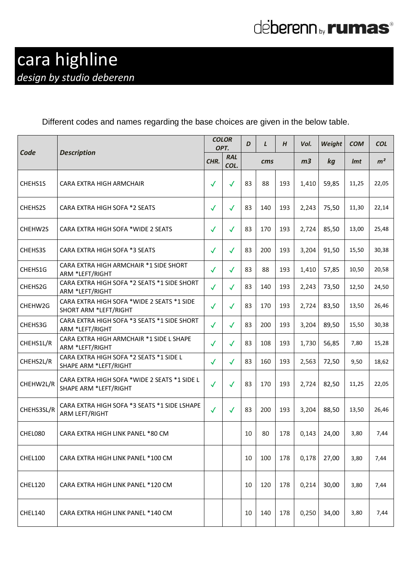# deberenn by **rumas**<sup>®</sup>

Different codes and names regarding the base choices are given in the below table.

|            |                                                                       |              | <b>COLOR</b><br>OPT. | D  | $\mathbf{L}$ | H   | Vol.           | Weight | <b>COM</b> | <b>COL</b>     |
|------------|-----------------------------------------------------------------------|--------------|----------------------|----|--------------|-----|----------------|--------|------------|----------------|
| Code       | <b>Description</b>                                                    | CHR.         | <b>RAL</b><br>COL.   |    | cms          |     | m <sub>3</sub> | kg     | <i>Imt</i> | m <sup>2</sup> |
| CHEHS1S    | CARA EXTRA HIGH ARMCHAIR                                              | $\checkmark$ | $\checkmark$         | 83 | 88           | 193 | 1.410          | 59,85  | 11,25      | 22,05          |
| CHEHS2S    | CARA EXTRA HIGH SOFA *2 SEATS                                         | $\checkmark$ | $\checkmark$         | 83 | 140          | 193 | 2,243          | 75,50  | 11,30      | 22,14          |
| CHEHW2S    | CARA EXTRA HIGH SOFA *WIDE 2 SEATS                                    | $\checkmark$ | $\checkmark$         | 83 | 170          | 193 | 2,724          | 85,50  | 13,00      | 25,48          |
| CHEHS3S    | CARA EXTRA HIGH SOFA *3 SEATS                                         | $\checkmark$ | $\checkmark$         | 83 | 200          | 193 | 3,204          | 91,50  | 15,50      | 30,38          |
| CHEHS1G    | CARA EXTRA HIGH ARMCHAIR *1 SIDE SHORT<br>ARM *LEFT/RIGHT             | $\checkmark$ | $\checkmark$         | 83 | 88           | 193 | 1,410          | 57,85  | 10,50      | 20,58          |
| CHEHS2G    | CARA EXTRA HIGH SOFA *2 SEATS *1 SIDE SHORT<br>ARM *LEFT/RIGHT        | $\checkmark$ | $\checkmark$         | 83 | 140          | 193 | 2,243          | 73,50  | 12,50      | 24,50          |
| CHEHW2G    | CARA EXTRA HIGH SOFA *WIDE 2 SEATS *1 SIDE<br>SHORT ARM *LEFT/RIGHT   | $\checkmark$ | $\checkmark$         | 83 | 170          | 193 | 2,724          | 83,50  | 13,50      | 26,46          |
| CHEHS3G    | CARA EXTRA HIGH SOFA *3 SEATS *1 SIDE SHORT<br>ARM *LEFT/RIGHT        | $\checkmark$ | $\checkmark$         | 83 | 200          | 193 | 3,204          | 89,50  | 15,50      | 30,38          |
| CHEHS1L/R  | CARA EXTRA HIGH ARMCHAIR *1 SIDE L SHAPE<br>ARM *LEFT/RIGHT           | $\checkmark$ | $\checkmark$         | 83 | 108          | 193 | 1,730          | 56,85  | 7,80       | 15,28          |
| CHEHS2L/R  | CARA EXTRA HIGH SOFA *2 SEATS *1 SIDE L<br>SHAPE ARM *LEFT/RIGHT      | $\checkmark$ | $\checkmark$         | 83 | 160          | 193 | 2,563          | 72,50  | 9,50       | 18,62          |
| CHEHW2L/R  | CARA EXTRA HIGH SOFA *WIDE 2 SEATS *1 SIDE L<br>SHAPE ARM *LEFT/RIGHT | $\checkmark$ | $\checkmark$         | 83 | 170          | 193 | 2,724          | 82,50  | 11,25      | 22,05          |
| CHEHS3SL/R | CARA EXTRA HIGH SOFA *3 SEATS *1 SIDE LSHAPE<br>ARM LEFT/RIGHT        | $\checkmark$ | $\checkmark$         | 83 | 200          | 193 | 3,204          | 88,50  | 13,50      | 26,46          |
| CHEL080    | CARA EXTRA HIGH LINK PANEL *80 CM                                     |              |                      | 10 | 80           | 178 | 0,143          | 24,00  | 3,80       | 7,44           |
| CHEL100    | CARA EXTRA HIGH LINK PANEL *100 CM                                    |              |                      | 10 | 100          | 178 | 0,178          | 27,00  | 3,80       | 7,44           |
| CHEL120    | CARA EXTRA HIGH LINK PANEL *120 CM                                    |              |                      | 10 | 120          | 178 | 0,214          | 30,00  | 3,80       | 7,44           |
| CHEL140    | CARA EXTRA HIGH LINK PANEL *140 CM                                    |              |                      | 10 | 140          | 178 | 0,250          | 34,00  | 3,80       | 7,44           |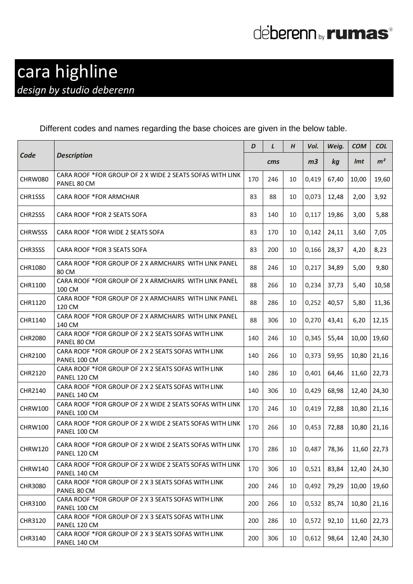# deberenn by **rumas**<sup>®</sup>

#### Different codes and names regarding the base choices are given in the below table.

|                |                                                                          |     | $\mathbf{L}$ | H  | Vol.           | Weig.          | <b>COM</b>    | <b>COL</b>     |
|----------------|--------------------------------------------------------------------------|-----|--------------|----|----------------|----------------|---------------|----------------|
| Code           | <b>Description</b>                                                       |     | cms          |    | m <sub>3</sub> | kg             | <i>Imt</i>    | m <sup>2</sup> |
| CHRW080        | CARA ROOF *FOR GROUP OF 2 X WIDE 2 SEATS SOFAS WITH LINK<br>PANEL 80 CM  | 170 | 246          | 10 | 0,419          | 67,40          | 10,00         | 19,60          |
| CHR1SSS        | <b>CARA ROOF *FOR ARMCHAIR</b>                                           | 83  | 88           | 10 | 0,073          | 12,48          | 2,00          | 3,92           |
| CHR2SSS        | CARA ROOF *FOR 2 SEATS SOFA                                              | 83  | 140          | 10 | 0,117          | 19,86          | 3,00          | 5,88           |
| <b>CHRWSSS</b> | CARA ROOF *FOR WIDE 2 SEATS SOFA                                         | 83  | 170          | 10 | 0,142          | 24,11          | 3,60          | 7,05           |
| CHR3SSS        | CARA ROOF *FOR 3 SEATS SOFA                                              | 83  | 200          | 10 | 0,166          | 28,37          | 4,20          | 8,23           |
| CHR1080        | CARA ROOF *FOR GROUP OF 2 X ARMCHAIRS WITH LINK PANEL<br>80 CM           | 88  | 246          | 10 | 0,217          | 34,89          | 5,00          | 9,80           |
| CHR1100        | CARA ROOF *FOR GROUP OF 2 X ARMCHAIRS WITH LINK PANEL<br>100 CM          | 88  | 266          | 10 | 0,234          | 37,73          | 5,40          | 10,58          |
| CHR1120        | CARA ROOF *FOR GROUP OF 2 X ARMCHAIRS WITH LINK PANEL<br>120 CM          | 88  | 286          | 10 | 0,252          | 40,57          | 5,80          | 11,36          |
| CHR1140        | CARA ROOF *FOR GROUP OF 2 X ARMCHAIRS WITH LINK PANEL<br>140 CM          | 88  | 306          | 10 | 0,270          | 43,41          | 6,20          | 12,15          |
| <b>CHR2080</b> | CARA ROOF *FOR GROUP OF 2 X 2 SEATS SOFAS WITH LINK<br>PANEL 80 CM       | 140 | 246          | 10 | 0,345          | 55,44          | 10,00         | 19,60          |
| CHR2100        | CARA ROOF *FOR GROUP OF 2 X 2 SEATS SOFAS WITH LINK<br>PANEL 100 CM      | 140 | 266          | 10 | 0,373          | 59,95          | 10,80         | 21,16          |
| CHR2120        | CARA ROOF *FOR GROUP OF 2 X 2 SEATS SOFAS WITH LINK<br>PANEL 120 CM      | 140 | 286          | 10 | 0,401          | 64,46          | 11,60 22,73   |                |
| CHR2140        | CARA ROOF *FOR GROUP OF 2 X 2 SEATS SOFAS WITH LINK<br>PANEL 140 CM      | 140 | 306          | 10 | 0,429          | 68,98          |               | 12,40 24,30    |
| <b>CHRW100</b> | CARA ROOF *FOR GROUP OF 2 X WIDE 2 SEATS SOFAS WITH LINK<br>PANEL 100 CM | 170 | 246          | 10 | 0,419          | 72,88          |               | 10,80 21,16    |
| <b>CHRW100</b> | CARA ROOF *FOR GROUP OF 2 X WIDE 2 SEATS SOFAS WITH LINK<br>PANEL 100 CM | 170 | 266          | 10 | 0,453          | 72,88          | 10,80         | 21,16          |
| <b>CHRW120</b> | CARA ROOF *FOR GROUP OF 2 X WIDE 2 SEATS SOFAS WITH LINK<br>PANEL 120 CM |     | 170 286      |    |                | 10 0,487 78,36 | $11,60$ 22,73 |                |
| <b>CHRW140</b> | CARA ROOF *FOR GROUP OF 2 X WIDE 2 SEATS SOFAS WITH LINK<br>PANEL 140 CM | 170 | 306          | 10 | 0,521          | 83,84          | 12,40         | 24,30          |
| CHR3080        | CARA ROOF *FOR GROUP OF 2 X 3 SEATS SOFAS WITH LINK<br>PANEL 80 CM       | 200 | 246          | 10 | 0,492          | 79,29          | 10,00         | 19,60          |
| CHR3100        | CARA ROOF *FOR GROUP OF 2 X 3 SEATS SOFAS WITH LINK<br>PANEL 100 CM      | 200 | 266          | 10 | 0,532          | 85,74          | 10,80         | 21,16          |
| CHR3120        | CARA ROOF *FOR GROUP OF 2 X 3 SEATS SOFAS WITH LINK<br>PANEL 120 CM      | 200 | 286          | 10 | 0,572          | 92,10          |               | $11,60$ 22,73  |
| CHR3140        | CARA ROOF *FOR GROUP OF 2 X 3 SEATS SOFAS WITH LINK<br>PANEL 140 CM      | 200 | 306          | 10 | 0,612          | 98,64          | 12,40         | 24,30          |